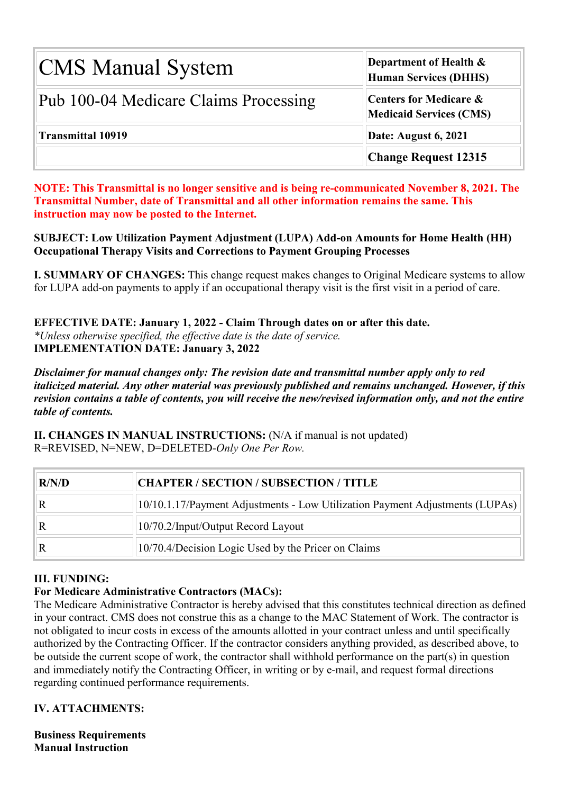| <b>CMS Manual System</b>              | <b>Department of Health <math>\&amp;</math></b><br>Human Services (DHHS) |  |  |  |  |
|---------------------------------------|--------------------------------------------------------------------------|--|--|--|--|
| Pub 100-04 Medicare Claims Processing | <b>Centers for Medicare &amp;</b><br><b>Medicaid Services (CMS)</b>      |  |  |  |  |
| <b>Transmittal 10919</b>              | Date: August 6, 2021                                                     |  |  |  |  |
|                                       | <b>Change Request 12315</b>                                              |  |  |  |  |

**NOTE: This Transmittal is no longer sensitive and is being re-communicated November 8, 2021. The Transmittal Number, date of Transmittal and all other information remains the same. This instruction may now be posted to the Internet.**

**SUBJECT: Low Utilization Payment Adjustment (LUPA) Add-on Amounts for Home Health (HH) Occupational Therapy Visits and Corrections to Payment Grouping Processes**

**I. SUMMARY OF CHANGES:** This change request makes changes to Original Medicare systems to allow for LUPA add-on payments to apply if an occupational therapy visit is the first visit in a period of care.

**EFFECTIVE DATE: January 1, 2022 - Claim Through dates on or after this date.** *\*Unless otherwise specified, the effective date is the date of service.* **IMPLEMENTATION DATE: January 3, 2022**

*Disclaimer for manual changes only: The revision date and transmittal number apply only to red italicized material. Any other material was previously published and remains unchanged. However, if this revision contains a table of contents, you will receive the new/revised information only, and not the entire table of contents.*

**II. CHANGES IN MANUAL INSTRUCTIONS:** (N/A if manual is not updated) R=REVISED, N=NEW, D=DELETED-*Only One Per Row.*

| R/N/D | <b>CHAPTER / SECTION / SUBSECTION / TITLE</b>                                |
|-------|------------------------------------------------------------------------------|
|       | 10/10.1.17/Payment Adjustments - Low Utilization Payment Adjustments (LUPAs) |
|       | 10/70.2/Input/Output Record Layout                                           |
|       | 10/70.4/Decision Logic Used by the Pricer on Claims                          |

## **III. FUNDING:**

#### **For Medicare Administrative Contractors (MACs):**

The Medicare Administrative Contractor is hereby advised that this constitutes technical direction as defined in your contract. CMS does not construe this as a change to the MAC Statement of Work. The contractor is not obligated to incur costs in excess of the amounts allotted in your contract unless and until specifically authorized by the Contracting Officer. If the contractor considers anything provided, as described above, to be outside the current scope of work, the contractor shall withhold performance on the part(s) in question and immediately notify the Contracting Officer, in writing or by e-mail, and request formal directions regarding continued performance requirements.

#### **IV. ATTACHMENTS:**

**Business Requirements Manual Instruction**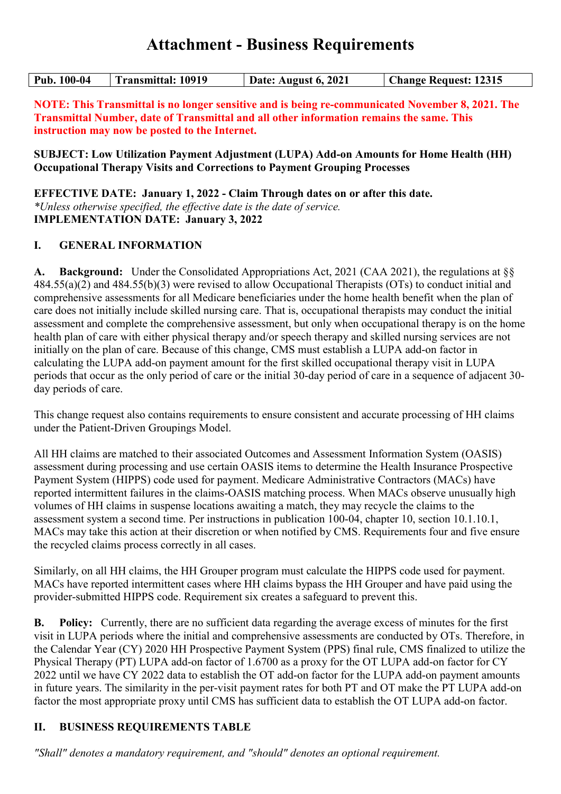# **Attachment - Business Requirements**

| <b>Transmittal: 10919</b><br>Pub. 100-04 |  | Date: August 6, 2021 | <b>Change Request: 12315</b> |  |
|------------------------------------------|--|----------------------|------------------------------|--|
|------------------------------------------|--|----------------------|------------------------------|--|

**NOTE: This Transmittal is no longer sensitive and is being re-communicated November 8, 2021. The Transmittal Number, date of Transmittal and all other information remains the same. This instruction may now be posted to the Internet.**

**SUBJECT: Low Utilization Payment Adjustment (LUPA) Add-on Amounts for Home Health (HH) Occupational Therapy Visits and Corrections to Payment Grouping Processes**

**EFFECTIVE DATE: January 1, 2022 - Claim Through dates on or after this date.** *\*Unless otherwise specified, the effective date is the date of service.* **IMPLEMENTATION DATE: January 3, 2022**

### **I. GENERAL INFORMATION**

**A. Background:** Under the Consolidated Appropriations Act, 2021 (CAA 2021), the regulations at §§ 484.55(a)(2) and 484.55(b)(3) were revised to allow Occupational Therapists (OTs) to conduct initial and comprehensive assessments for all Medicare beneficiaries under the home health benefit when the plan of care does not initially include skilled nursing care. That is, occupational therapists may conduct the initial assessment and complete the comprehensive assessment, but only when occupational therapy is on the home health plan of care with either physical therapy and/or speech therapy and skilled nursing services are not initially on the plan of care. Because of this change, CMS must establish a LUPA add-on factor in calculating the LUPA add-on payment amount for the first skilled occupational therapy visit in LUPA periods that occur as the only period of care or the initial 30-day period of care in a sequence of adjacent 30 day periods of care.

This change request also contains requirements to ensure consistent and accurate processing of HH claims under the Patient-Driven Groupings Model.

All HH claims are matched to their associated Outcomes and Assessment Information System (OASIS) assessment during processing and use certain OASIS items to determine the Health Insurance Prospective Payment System (HIPPS) code used for payment. Medicare Administrative Contractors (MACs) have reported intermittent failures in the claims-OASIS matching process. When MACs observe unusually high volumes of HH claims in suspense locations awaiting a match, they may recycle the claims to the assessment system a second time. Per instructions in publication 100-04, chapter 10, section 10.1.10.1, MACs may take this action at their discretion or when notified by CMS. Requirements four and five ensure the recycled claims process correctly in all cases.

Similarly, on all HH claims, the HH Grouper program must calculate the HIPPS code used for payment. MACs have reported intermittent cases where HH claims bypass the HH Grouper and have paid using the provider-submitted HIPPS code. Requirement six creates a safeguard to prevent this.

**B. Policy:** Currently, there are no sufficient data regarding the average excess of minutes for the first visit in LUPA periods where the initial and comprehensive assessments are conducted by OTs. Therefore, in the Calendar Year (CY) 2020 HH Prospective Payment System (PPS) final rule, CMS finalized to utilize the Physical Therapy (PT) LUPA add-on factor of 1.6700 as a proxy for the OT LUPA add-on factor for CY 2022 until we have CY 2022 data to establish the OT add-on factor for the LUPA add-on payment amounts in future years. The similarity in the per-visit payment rates for both PT and OT make the PT LUPA add-on factor the most appropriate proxy until CMS has sufficient data to establish the OT LUPA add-on factor.

## **II. BUSINESS REQUIREMENTS TABLE**

*"Shall" denotes a mandatory requirement, and "should" denotes an optional requirement.*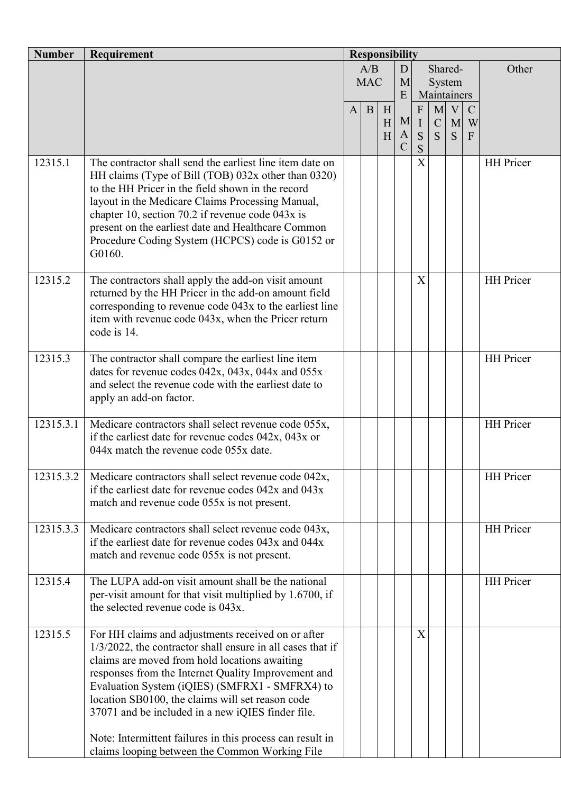| <b>Number</b> | Requirement                                                                                                                                                                                                                                                                                                                                                                                                                                                                                        | <b>Responsibility</b> |            |        |               |                             |                  |                |                    |                  |
|---------------|----------------------------------------------------------------------------------------------------------------------------------------------------------------------------------------------------------------------------------------------------------------------------------------------------------------------------------------------------------------------------------------------------------------------------------------------------------------------------------------------------|-----------------------|------------|--------|---------------|-----------------------------|------------------|----------------|--------------------|------------------|
|               |                                                                                                                                                                                                                                                                                                                                                                                                                                                                                                    |                       | A/B<br>D   |        |               |                             |                  | Shared-        |                    | Other            |
|               |                                                                                                                                                                                                                                                                                                                                                                                                                                                                                                    |                       | <b>MAC</b> |        | M             | System<br>Maintainers       |                  |                |                    |                  |
|               |                                                                                                                                                                                                                                                                                                                                                                                                                                                                                                    |                       |            |        | E             |                             |                  |                |                    |                  |
|               |                                                                                                                                                                                                                                                                                                                                                                                                                                                                                                    | $\mathbf{A}$          | B          | H<br>H | M             | $\mathbf{F}$<br>$\mathbf I$ | M<br>$\mathbf C$ | V <sub>1</sub> | $\mathbf C$<br>M W |                  |
|               |                                                                                                                                                                                                                                                                                                                                                                                                                                                                                                    |                       |            | H      | $\mathbf{A}$  | S                           | S                | S              | $\mathbf{F}$       |                  |
|               |                                                                                                                                                                                                                                                                                                                                                                                                                                                                                                    |                       |            |        | $\mathcal{C}$ | S                           |                  |                |                    |                  |
| 12315.1       | The contractor shall send the earliest line item date on<br>HH claims (Type of Bill (TOB) 032x other than 0320)<br>to the HH Pricer in the field shown in the record<br>layout in the Medicare Claims Processing Manual,<br>chapter 10, section 70.2 if revenue code $043x$ is<br>present on the earliest date and Healthcare Common<br>Procedure Coding System (HCPCS) code is G0152 or<br>G0160.                                                                                                 |                       |            |        |               | $\boldsymbol{\mathrm{X}}$   |                  |                |                    | <b>HH</b> Pricer |
| 12315.2       | The contractors shall apply the add-on visit amount<br>returned by the HH Pricer in the add-on amount field<br>corresponding to revenue code 043x to the earliest line<br>item with revenue code 043x, when the Pricer return<br>code is 14.                                                                                                                                                                                                                                                       |                       |            |        |               | X                           |                  |                |                    | <b>HH</b> Pricer |
| 12315.3       | The contractor shall compare the earliest line item<br>dates for revenue codes $042x$ , $043x$ , $044x$ and $055x$<br>and select the revenue code with the earliest date to<br>apply an add-on factor.                                                                                                                                                                                                                                                                                             |                       |            |        |               |                             |                  |                |                    | <b>HH</b> Pricer |
| 12315.3.1     | Medicare contractors shall select revenue code 055x,<br>if the earliest date for revenue codes $042x$ , $043x$ or<br>044x match the revenue code 055x date.                                                                                                                                                                                                                                                                                                                                        |                       |            |        |               |                             |                  |                |                    | <b>HH</b> Pricer |
| 12315.3.2     | Medicare contractors shall select revenue code 042x,<br>if the earliest date for revenue codes $042x$ and $043x$<br>match and revenue code 055x is not present.                                                                                                                                                                                                                                                                                                                                    |                       |            |        |               |                             |                  |                |                    | <b>HH</b> Pricer |
| 12315.3.3     | Medicare contractors shall select revenue code 043x,<br>if the earliest date for revenue codes 043x and 044x<br>match and revenue code 055x is not present.                                                                                                                                                                                                                                                                                                                                        |                       |            |        |               |                             |                  |                |                    | <b>HH</b> Pricer |
| 12315.4       | The LUPA add-on visit amount shall be the national<br>per-visit amount for that visit multiplied by 1.6700, if<br>the selected revenue code is 043x.                                                                                                                                                                                                                                                                                                                                               |                       |            |        |               |                             |                  |                |                    | <b>HH</b> Pricer |
| 12315.5       | For HH claims and adjustments received on or after<br>1/3/2022, the contractor shall ensure in all cases that if<br>claims are moved from hold locations awaiting<br>responses from the Internet Quality Improvement and<br>Evaluation System (iQIES) (SMFRX1 - SMFRX4) to<br>location SB0100, the claims will set reason code<br>37071 and be included in a new iQIES finder file.<br>Note: Intermittent failures in this process can result in<br>claims looping between the Common Working File |                       |            |        |               | X                           |                  |                |                    |                  |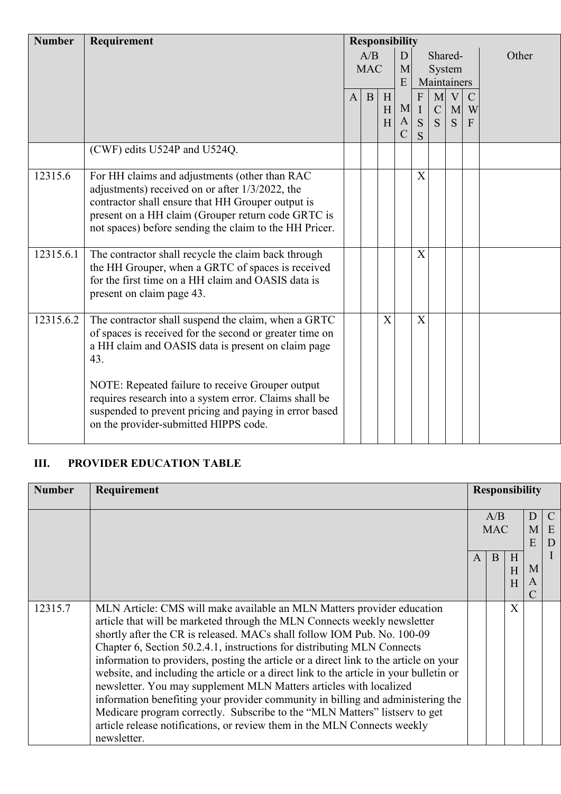| <b>Number</b> | Requirement                                             | <b>Responsibility</b> |              |        |               |              |              |              |               |       |
|---------------|---------------------------------------------------------|-----------------------|--------------|--------|---------------|--------------|--------------|--------------|---------------|-------|
|               |                                                         |                       | A/B          |        | D             |              | Shared-      |              |               | Other |
|               |                                                         |                       | <b>MAC</b>   |        | M             |              | System       |              |               |       |
|               |                                                         |                       |              |        | E             |              |              | Maintainers  |               |       |
|               |                                                         | $\mathbf{A}$          | $\mathbf{B}$ | $\,$ H |               | $\mathbf{F}$ |              | $M$ V        | $\mathcal{C}$ |       |
|               |                                                         |                       |              | H      | M             | $\rm I$      |              | $C \mid M$   | W             |       |
|               |                                                         |                       |              | H      | $\mathbf{A}$  | S            | <sub>S</sub> | <sub>S</sub> | F             |       |
|               |                                                         |                       |              |        | $\mathcal{C}$ | S            |              |              |               |       |
|               | (CWF) edits U524P and U524Q.                            |                       |              |        |               |              |              |              |               |       |
| 12315.6       | For HH claims and adjustments (other than RAC           |                       |              |        |               | X            |              |              |               |       |
|               | adjustments) received on or after 1/3/2022, the         |                       |              |        |               |              |              |              |               |       |
|               | contractor shall ensure that HH Grouper output is       |                       |              |        |               |              |              |              |               |       |
|               | present on a HH claim (Grouper return code GRTC is      |                       |              |        |               |              |              |              |               |       |
|               | not spaces) before sending the claim to the HH Pricer.  |                       |              |        |               |              |              |              |               |       |
| 12315.6.1     | The contractor shall recycle the claim back through     |                       |              |        |               | X            |              |              |               |       |
|               | the HH Grouper, when a GRTC of spaces is received       |                       |              |        |               |              |              |              |               |       |
|               | for the first time on a HH claim and OASIS data is      |                       |              |        |               |              |              |              |               |       |
|               | present on claim page 43.                               |                       |              |        |               |              |              |              |               |       |
|               |                                                         |                       |              |        |               |              |              |              |               |       |
| 12315.6.2     | The contractor shall suspend the claim, when a GRTC     |                       |              | X      |               | X            |              |              |               |       |
|               | of spaces is received for the second or greater time on |                       |              |        |               |              |              |              |               |       |
|               | a HH claim and OASIS data is present on claim page      |                       |              |        |               |              |              |              |               |       |
|               | 43.                                                     |                       |              |        |               |              |              |              |               |       |
|               | NOTE: Repeated failure to receive Grouper output        |                       |              |        |               |              |              |              |               |       |
|               | requires research into a system error. Claims shall be  |                       |              |        |               |              |              |              |               |       |
|               | suspended to prevent pricing and paying in error based  |                       |              |        |               |              |              |              |               |       |
|               | on the provider-submitted HIPPS code.                   |                       |              |        |               |              |              |              |               |       |
|               |                                                         |                       |              |        |               |              |              |              |               |       |

# **III. PROVIDER EDUCATION TABLE**

| <b>Number</b> | Requirement                                                                                                                                                                                                                                                                                                                                                                                                                                                                                                                                                                                                                                                                                                                                                                                                                   |              | <b>Responsibility</b> |              |             |                         |
|---------------|-------------------------------------------------------------------------------------------------------------------------------------------------------------------------------------------------------------------------------------------------------------------------------------------------------------------------------------------------------------------------------------------------------------------------------------------------------------------------------------------------------------------------------------------------------------------------------------------------------------------------------------------------------------------------------------------------------------------------------------------------------------------------------------------------------------------------------|--------------|-----------------------|--------------|-------------|-------------------------|
|               |                                                                                                                                                                                                                                                                                                                                                                                                                                                                                                                                                                                                                                                                                                                                                                                                                               |              | A/B<br><b>MAC</b>     |              | D<br>M<br>E | $\mathcal{C}$<br>E<br>D |
|               |                                                                                                                                                                                                                                                                                                                                                                                                                                                                                                                                                                                                                                                                                                                                                                                                                               | $\mathsf{A}$ | B                     | H<br>H<br>H  | M<br>A      |                         |
| 12315.7       | MLN Article: CMS will make available an MLN Matters provider education<br>article that will be marketed through the MLN Connects weekly newsletter<br>shortly after the CR is released. MACs shall follow IOM Pub. No. 100-09<br>Chapter 6, Section 50.2.4.1, instructions for distributing MLN Connects<br>information to providers, posting the article or a direct link to the article on your<br>website, and including the article or a direct link to the article in your bulletin or<br>newsletter. You may supplement MLN Matters articles with localized<br>information benefiting your provider community in billing and administering the<br>Medicare program correctly. Subscribe to the "MLN Matters" listserv to get<br>article release notifications, or review them in the MLN Connects weekly<br>newsletter. |              |                       | $\mathbf{X}$ |             |                         |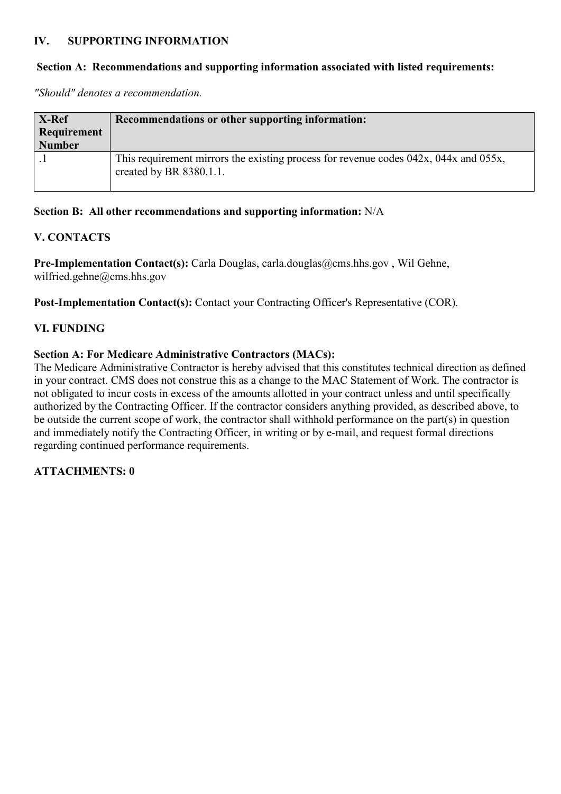#### **IV. SUPPORTING INFORMATION**

#### **Section A: Recommendations and supporting information associated with listed requirements:**

*"Should" denotes a recommendation.*

| X-Ref<br>Requirement<br><b>Number</b> | Recommendations or other supporting information:                                                                        |
|---------------------------------------|-------------------------------------------------------------------------------------------------------------------------|
|                                       | This requirement mirrors the existing process for revenue codes $042x$ , $044x$ and $055x$ ,<br>created by BR 8380.1.1. |

#### **Section B: All other recommendations and supporting information:** N/A

#### **V. CONTACTS**

Pre-Implementation Contact(s): Carla Douglas, carla.douglas@cms.hhs.gov, Wil Gehne, wilfried.gehne@cms.hhs.gov

Post-Implementation Contact(s): Contact your Contracting Officer's Representative (COR).

#### **VI. FUNDING**

#### **Section A: For Medicare Administrative Contractors (MACs):**

The Medicare Administrative Contractor is hereby advised that this constitutes technical direction as defined in your contract. CMS does not construe this as a change to the MAC Statement of Work. The contractor is not obligated to incur costs in excess of the amounts allotted in your contract unless and until specifically authorized by the Contracting Officer. If the contractor considers anything provided, as described above, to be outside the current scope of work, the contractor shall withhold performance on the part(s) in question and immediately notify the Contracting Officer, in writing or by e-mail, and request formal directions regarding continued performance requirements.

#### **ATTACHMENTS: 0**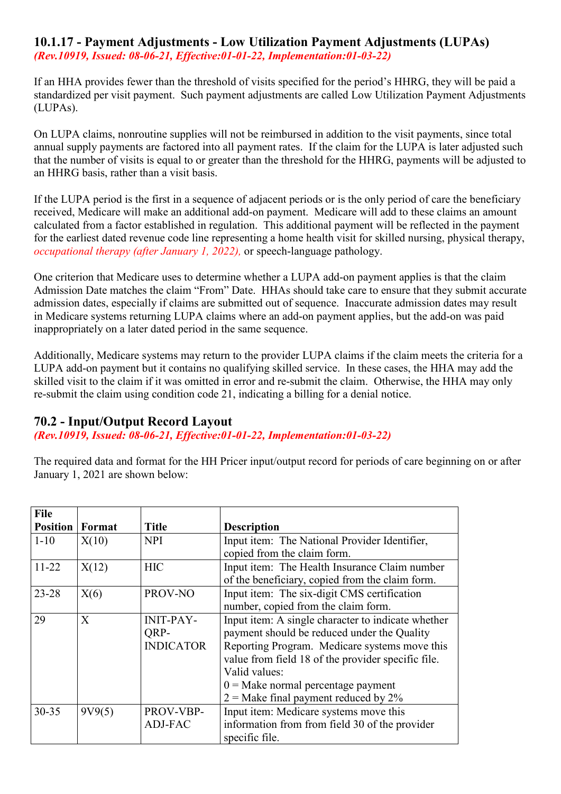#### **10.1.17 - Payment Adjustments - Low Utilization Payment Adjustments (LUPAs)** *(Rev.10919, Issued: 08-06-21, Effective:01-01-22, Implementation:01-03-22)*

If an HHA provides fewer than the threshold of visits specified for the period's HHRG, they will be paid a standardized per visit payment. Such payment adjustments are called Low Utilization Payment Adjustments (LUPAs).

On LUPA claims, nonroutine supplies will not be reimbursed in addition to the visit payments, since total annual supply payments are factored into all payment rates. If the claim for the LUPA is later adjusted such that the number of visits is equal to or greater than the threshold for the HHRG, payments will be adjusted to an HHRG basis, rather than a visit basis.

If the LUPA period is the first in a sequence of adjacent periods or is the only period of care the beneficiary received, Medicare will make an additional add-on payment. Medicare will add to these claims an amount calculated from a factor established in regulation. This additional payment will be reflected in the payment for the earliest dated revenue code line representing a home health visit for skilled nursing, physical therapy, *occupational therapy (after January 1, 2022),* or speech-language pathology.

One criterion that Medicare uses to determine whether a LUPA add-on payment applies is that the claim Admission Date matches the claim "From" Date. HHAs should take care to ensure that they submit accurate admission dates, especially if claims are submitted out of sequence. Inaccurate admission dates may result in Medicare systems returning LUPA claims where an add-on payment applies, but the add-on was paid inappropriately on a later dated period in the same sequence.

Additionally, Medicare systems may return to the provider LUPA claims if the claim meets the criteria for a LUPA add-on payment but it contains no qualifying skilled service. In these cases, the HHA may add the skilled visit to the claim if it was omitted in error and re-submit the claim. Otherwise, the HHA may only re-submit the claim using condition code 21, indicating a billing for a denial notice.

# **70.2 - Input/Output Record Layout**

*(Rev.10919, Issued: 08-06-21, Effective:01-01-22, Implementation:01-03-22)*

The required data and format for the HH Pricer input/output record for periods of care beginning on or after January 1, 2021 are shown below:

| <b>File</b>     |        |                  |                                                    |
|-----------------|--------|------------------|----------------------------------------------------|
| <b>Position</b> | Format | <b>Title</b>     | <b>Description</b>                                 |
| $1 - 10$        | X(10)  | <b>NPI</b>       | Input item: The National Provider Identifier,      |
|                 |        |                  | copied from the claim form.                        |
| $11-22$         | X(12)  | <b>HIC</b>       | Input item: The Health Insurance Claim number      |
|                 |        |                  | of the beneficiary, copied from the claim form.    |
| $23 - 28$       | X(6)   | PROV-NO          | Input item: The six-digit CMS certification        |
|                 |        |                  | number, copied from the claim form.                |
| 29              | X      | <b>INIT-PAY-</b> | Input item: A single character to indicate whether |
|                 |        | ORP-             | payment should be reduced under the Quality        |
|                 |        | <b>INDICATOR</b> | Reporting Program. Medicare systems move this      |
|                 |        |                  | value from field 18 of the provider specific file. |
|                 |        |                  | Valid values:                                      |
|                 |        |                  | $0 =$ Make normal percentage payment               |
|                 |        |                  | $2$ = Make final payment reduced by 2%             |
| $30 - 35$       | 9V9(5) | PROV-VBP-        | Input item: Medicare systems move this             |
|                 |        | ADJ-FAC          | information from from field 30 of the provider     |
|                 |        |                  | specific file.                                     |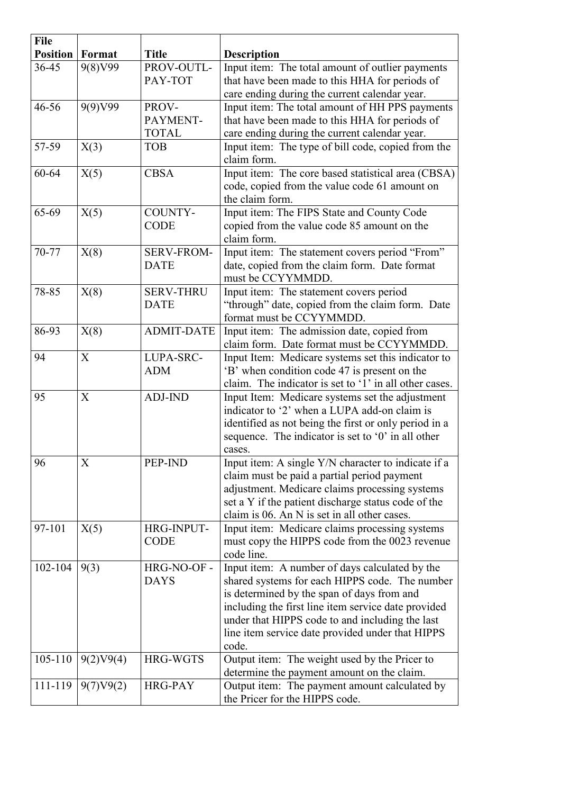| <b>Position</b><br>Format<br><b>Title</b><br><b>Description</b><br>36-45<br>9(8)V99<br>PROV-OUTL-<br>Input item: The total amount of outlier payments<br>PAY-TOT<br>that have been made to this HHA for periods of<br>care ending during the current calendar year.<br>9(9)V99<br>Input item: The total amount of HH PPS payments<br>$46 - 56$<br>PROV-<br>that have been made to this HHA for periods of<br>PAYMENT-<br>care ending during the current calendar year.<br><b>TOTAL</b><br>Input item: The type of bill code, copied from the<br>57-59<br>X(3)<br><b>TOB</b><br>claim form.<br>Input item: The core based statistical area (CBSA)<br><b>CBSA</b><br>60-64<br>X(5)<br>code, copied from the value code 61 amount on<br>the claim form.<br>COUNTY-<br>65-69<br>X(5)<br>Input item: The FIPS State and County Code<br><b>CODE</b><br>copied from the value code 85 amount on the<br>claim form.<br>70-77<br>Input item: The statement covers period "From"<br>X(8)<br><b>SERV-FROM-</b><br>date, copied from the claim form. Date format<br><b>DATE</b><br>must be CCYYMMDD.<br>X(8)<br><b>SERV-THRU</b><br>Input item: The statement covers period<br>78-85<br>"through" date, copied from the claim form. Date<br><b>DATE</b><br>format must be CCYYMMDD.<br>Input item: The admission date, copied from<br><b>ADMIT-DATE</b><br>86-93<br>X(8)<br>claim form. Date format must be CCYYMMDD.<br>X<br>LUPA-SRC-<br>Input Item: Medicare systems set this indicator to<br>94<br>'B' when condition code 47 is present on the<br><b>ADM</b><br>claim. The indicator is set to '1' in all other cases.<br>X<br><b>ADJ-IND</b><br>95<br>Input Item: Medicare systems set the adjustment<br>indicator to '2' when a LUPA add-on claim is<br>identified as not being the first or only period in a<br>sequence. The indicator is set to $0'$ in all other<br>cases.<br>PEP-IND<br>96<br>Input item: A single Y/N character to indicate if a<br>X<br>claim must be paid a partial period payment<br>adjustment. Medicare claims processing systems<br>set a Y if the patient discharge status code of the<br>claim is 06. An N is set in all other cases.<br>Input item: Medicare claims processing systems<br>97-101<br>HRG-INPUT-<br>X(5)<br><b>CODE</b><br>must copy the HIPPS code from the 0023 revenue<br>code line.<br>102-104<br>9(3)<br>HRG-NO-OF -<br>Input item: A number of days calculated by the<br>shared systems for each HIPPS code. The number<br><b>DAYS</b><br>is determined by the span of days from and<br>including the first line item service date provided<br>under that HIPPS code to and including the last<br>line item service date provided under that HIPPS<br>code.<br>105-110<br>9(2)V9(4)<br><b>HRG-WGTS</b><br>Output item: The weight used by the Pricer to<br>determine the payment amount on the claim.<br>Output item: The payment amount calculated by<br>111-119<br><b>HRG-PAY</b><br>9(7)V9(2) | <b>File</b> |  |                                |
|------------------------------------------------------------------------------------------------------------------------------------------------------------------------------------------------------------------------------------------------------------------------------------------------------------------------------------------------------------------------------------------------------------------------------------------------------------------------------------------------------------------------------------------------------------------------------------------------------------------------------------------------------------------------------------------------------------------------------------------------------------------------------------------------------------------------------------------------------------------------------------------------------------------------------------------------------------------------------------------------------------------------------------------------------------------------------------------------------------------------------------------------------------------------------------------------------------------------------------------------------------------------------------------------------------------------------------------------------------------------------------------------------------------------------------------------------------------------------------------------------------------------------------------------------------------------------------------------------------------------------------------------------------------------------------------------------------------------------------------------------------------------------------------------------------------------------------------------------------------------------------------------------------------------------------------------------------------------------------------------------------------------------------------------------------------------------------------------------------------------------------------------------------------------------------------------------------------------------------------------------------------------------------------------------------------------------------------------------------------------------------------------------------------------------------------------------------------------------------------------------------------------------------------------------------------------------------------------------------------------------------------------------------------------------------------------------------------------------------------------------------------------------------------------------------------------------------------------------------------------------------------------------------------------------------------------|-------------|--|--------------------------------|
|                                                                                                                                                                                                                                                                                                                                                                                                                                                                                                                                                                                                                                                                                                                                                                                                                                                                                                                                                                                                                                                                                                                                                                                                                                                                                                                                                                                                                                                                                                                                                                                                                                                                                                                                                                                                                                                                                                                                                                                                                                                                                                                                                                                                                                                                                                                                                                                                                                                                                                                                                                                                                                                                                                                                                                                                                                                                                                                                                |             |  |                                |
|                                                                                                                                                                                                                                                                                                                                                                                                                                                                                                                                                                                                                                                                                                                                                                                                                                                                                                                                                                                                                                                                                                                                                                                                                                                                                                                                                                                                                                                                                                                                                                                                                                                                                                                                                                                                                                                                                                                                                                                                                                                                                                                                                                                                                                                                                                                                                                                                                                                                                                                                                                                                                                                                                                                                                                                                                                                                                                                                                |             |  |                                |
|                                                                                                                                                                                                                                                                                                                                                                                                                                                                                                                                                                                                                                                                                                                                                                                                                                                                                                                                                                                                                                                                                                                                                                                                                                                                                                                                                                                                                                                                                                                                                                                                                                                                                                                                                                                                                                                                                                                                                                                                                                                                                                                                                                                                                                                                                                                                                                                                                                                                                                                                                                                                                                                                                                                                                                                                                                                                                                                                                |             |  |                                |
|                                                                                                                                                                                                                                                                                                                                                                                                                                                                                                                                                                                                                                                                                                                                                                                                                                                                                                                                                                                                                                                                                                                                                                                                                                                                                                                                                                                                                                                                                                                                                                                                                                                                                                                                                                                                                                                                                                                                                                                                                                                                                                                                                                                                                                                                                                                                                                                                                                                                                                                                                                                                                                                                                                                                                                                                                                                                                                                                                |             |  |                                |
|                                                                                                                                                                                                                                                                                                                                                                                                                                                                                                                                                                                                                                                                                                                                                                                                                                                                                                                                                                                                                                                                                                                                                                                                                                                                                                                                                                                                                                                                                                                                                                                                                                                                                                                                                                                                                                                                                                                                                                                                                                                                                                                                                                                                                                                                                                                                                                                                                                                                                                                                                                                                                                                                                                                                                                                                                                                                                                                                                |             |  |                                |
|                                                                                                                                                                                                                                                                                                                                                                                                                                                                                                                                                                                                                                                                                                                                                                                                                                                                                                                                                                                                                                                                                                                                                                                                                                                                                                                                                                                                                                                                                                                                                                                                                                                                                                                                                                                                                                                                                                                                                                                                                                                                                                                                                                                                                                                                                                                                                                                                                                                                                                                                                                                                                                                                                                                                                                                                                                                                                                                                                |             |  |                                |
|                                                                                                                                                                                                                                                                                                                                                                                                                                                                                                                                                                                                                                                                                                                                                                                                                                                                                                                                                                                                                                                                                                                                                                                                                                                                                                                                                                                                                                                                                                                                                                                                                                                                                                                                                                                                                                                                                                                                                                                                                                                                                                                                                                                                                                                                                                                                                                                                                                                                                                                                                                                                                                                                                                                                                                                                                                                                                                                                                |             |  |                                |
|                                                                                                                                                                                                                                                                                                                                                                                                                                                                                                                                                                                                                                                                                                                                                                                                                                                                                                                                                                                                                                                                                                                                                                                                                                                                                                                                                                                                                                                                                                                                                                                                                                                                                                                                                                                                                                                                                                                                                                                                                                                                                                                                                                                                                                                                                                                                                                                                                                                                                                                                                                                                                                                                                                                                                                                                                                                                                                                                                |             |  |                                |
|                                                                                                                                                                                                                                                                                                                                                                                                                                                                                                                                                                                                                                                                                                                                                                                                                                                                                                                                                                                                                                                                                                                                                                                                                                                                                                                                                                                                                                                                                                                                                                                                                                                                                                                                                                                                                                                                                                                                                                                                                                                                                                                                                                                                                                                                                                                                                                                                                                                                                                                                                                                                                                                                                                                                                                                                                                                                                                                                                |             |  |                                |
|                                                                                                                                                                                                                                                                                                                                                                                                                                                                                                                                                                                                                                                                                                                                                                                                                                                                                                                                                                                                                                                                                                                                                                                                                                                                                                                                                                                                                                                                                                                                                                                                                                                                                                                                                                                                                                                                                                                                                                                                                                                                                                                                                                                                                                                                                                                                                                                                                                                                                                                                                                                                                                                                                                                                                                                                                                                                                                                                                |             |  |                                |
|                                                                                                                                                                                                                                                                                                                                                                                                                                                                                                                                                                                                                                                                                                                                                                                                                                                                                                                                                                                                                                                                                                                                                                                                                                                                                                                                                                                                                                                                                                                                                                                                                                                                                                                                                                                                                                                                                                                                                                                                                                                                                                                                                                                                                                                                                                                                                                                                                                                                                                                                                                                                                                                                                                                                                                                                                                                                                                                                                |             |  |                                |
|                                                                                                                                                                                                                                                                                                                                                                                                                                                                                                                                                                                                                                                                                                                                                                                                                                                                                                                                                                                                                                                                                                                                                                                                                                                                                                                                                                                                                                                                                                                                                                                                                                                                                                                                                                                                                                                                                                                                                                                                                                                                                                                                                                                                                                                                                                                                                                                                                                                                                                                                                                                                                                                                                                                                                                                                                                                                                                                                                |             |  |                                |
|                                                                                                                                                                                                                                                                                                                                                                                                                                                                                                                                                                                                                                                                                                                                                                                                                                                                                                                                                                                                                                                                                                                                                                                                                                                                                                                                                                                                                                                                                                                                                                                                                                                                                                                                                                                                                                                                                                                                                                                                                                                                                                                                                                                                                                                                                                                                                                                                                                                                                                                                                                                                                                                                                                                                                                                                                                                                                                                                                |             |  |                                |
|                                                                                                                                                                                                                                                                                                                                                                                                                                                                                                                                                                                                                                                                                                                                                                                                                                                                                                                                                                                                                                                                                                                                                                                                                                                                                                                                                                                                                                                                                                                                                                                                                                                                                                                                                                                                                                                                                                                                                                                                                                                                                                                                                                                                                                                                                                                                                                                                                                                                                                                                                                                                                                                                                                                                                                                                                                                                                                                                                |             |  |                                |
|                                                                                                                                                                                                                                                                                                                                                                                                                                                                                                                                                                                                                                                                                                                                                                                                                                                                                                                                                                                                                                                                                                                                                                                                                                                                                                                                                                                                                                                                                                                                                                                                                                                                                                                                                                                                                                                                                                                                                                                                                                                                                                                                                                                                                                                                                                                                                                                                                                                                                                                                                                                                                                                                                                                                                                                                                                                                                                                                                |             |  |                                |
|                                                                                                                                                                                                                                                                                                                                                                                                                                                                                                                                                                                                                                                                                                                                                                                                                                                                                                                                                                                                                                                                                                                                                                                                                                                                                                                                                                                                                                                                                                                                                                                                                                                                                                                                                                                                                                                                                                                                                                                                                                                                                                                                                                                                                                                                                                                                                                                                                                                                                                                                                                                                                                                                                                                                                                                                                                                                                                                                                |             |  |                                |
|                                                                                                                                                                                                                                                                                                                                                                                                                                                                                                                                                                                                                                                                                                                                                                                                                                                                                                                                                                                                                                                                                                                                                                                                                                                                                                                                                                                                                                                                                                                                                                                                                                                                                                                                                                                                                                                                                                                                                                                                                                                                                                                                                                                                                                                                                                                                                                                                                                                                                                                                                                                                                                                                                                                                                                                                                                                                                                                                                |             |  |                                |
|                                                                                                                                                                                                                                                                                                                                                                                                                                                                                                                                                                                                                                                                                                                                                                                                                                                                                                                                                                                                                                                                                                                                                                                                                                                                                                                                                                                                                                                                                                                                                                                                                                                                                                                                                                                                                                                                                                                                                                                                                                                                                                                                                                                                                                                                                                                                                                                                                                                                                                                                                                                                                                                                                                                                                                                                                                                                                                                                                |             |  |                                |
|                                                                                                                                                                                                                                                                                                                                                                                                                                                                                                                                                                                                                                                                                                                                                                                                                                                                                                                                                                                                                                                                                                                                                                                                                                                                                                                                                                                                                                                                                                                                                                                                                                                                                                                                                                                                                                                                                                                                                                                                                                                                                                                                                                                                                                                                                                                                                                                                                                                                                                                                                                                                                                                                                                                                                                                                                                                                                                                                                |             |  |                                |
|                                                                                                                                                                                                                                                                                                                                                                                                                                                                                                                                                                                                                                                                                                                                                                                                                                                                                                                                                                                                                                                                                                                                                                                                                                                                                                                                                                                                                                                                                                                                                                                                                                                                                                                                                                                                                                                                                                                                                                                                                                                                                                                                                                                                                                                                                                                                                                                                                                                                                                                                                                                                                                                                                                                                                                                                                                                                                                                                                |             |  |                                |
|                                                                                                                                                                                                                                                                                                                                                                                                                                                                                                                                                                                                                                                                                                                                                                                                                                                                                                                                                                                                                                                                                                                                                                                                                                                                                                                                                                                                                                                                                                                                                                                                                                                                                                                                                                                                                                                                                                                                                                                                                                                                                                                                                                                                                                                                                                                                                                                                                                                                                                                                                                                                                                                                                                                                                                                                                                                                                                                                                |             |  |                                |
|                                                                                                                                                                                                                                                                                                                                                                                                                                                                                                                                                                                                                                                                                                                                                                                                                                                                                                                                                                                                                                                                                                                                                                                                                                                                                                                                                                                                                                                                                                                                                                                                                                                                                                                                                                                                                                                                                                                                                                                                                                                                                                                                                                                                                                                                                                                                                                                                                                                                                                                                                                                                                                                                                                                                                                                                                                                                                                                                                |             |  |                                |
|                                                                                                                                                                                                                                                                                                                                                                                                                                                                                                                                                                                                                                                                                                                                                                                                                                                                                                                                                                                                                                                                                                                                                                                                                                                                                                                                                                                                                                                                                                                                                                                                                                                                                                                                                                                                                                                                                                                                                                                                                                                                                                                                                                                                                                                                                                                                                                                                                                                                                                                                                                                                                                                                                                                                                                                                                                                                                                                                                |             |  |                                |
|                                                                                                                                                                                                                                                                                                                                                                                                                                                                                                                                                                                                                                                                                                                                                                                                                                                                                                                                                                                                                                                                                                                                                                                                                                                                                                                                                                                                                                                                                                                                                                                                                                                                                                                                                                                                                                                                                                                                                                                                                                                                                                                                                                                                                                                                                                                                                                                                                                                                                                                                                                                                                                                                                                                                                                                                                                                                                                                                                |             |  |                                |
|                                                                                                                                                                                                                                                                                                                                                                                                                                                                                                                                                                                                                                                                                                                                                                                                                                                                                                                                                                                                                                                                                                                                                                                                                                                                                                                                                                                                                                                                                                                                                                                                                                                                                                                                                                                                                                                                                                                                                                                                                                                                                                                                                                                                                                                                                                                                                                                                                                                                                                                                                                                                                                                                                                                                                                                                                                                                                                                                                |             |  |                                |
|                                                                                                                                                                                                                                                                                                                                                                                                                                                                                                                                                                                                                                                                                                                                                                                                                                                                                                                                                                                                                                                                                                                                                                                                                                                                                                                                                                                                                                                                                                                                                                                                                                                                                                                                                                                                                                                                                                                                                                                                                                                                                                                                                                                                                                                                                                                                                                                                                                                                                                                                                                                                                                                                                                                                                                                                                                                                                                                                                |             |  |                                |
|                                                                                                                                                                                                                                                                                                                                                                                                                                                                                                                                                                                                                                                                                                                                                                                                                                                                                                                                                                                                                                                                                                                                                                                                                                                                                                                                                                                                                                                                                                                                                                                                                                                                                                                                                                                                                                                                                                                                                                                                                                                                                                                                                                                                                                                                                                                                                                                                                                                                                                                                                                                                                                                                                                                                                                                                                                                                                                                                                |             |  |                                |
|                                                                                                                                                                                                                                                                                                                                                                                                                                                                                                                                                                                                                                                                                                                                                                                                                                                                                                                                                                                                                                                                                                                                                                                                                                                                                                                                                                                                                                                                                                                                                                                                                                                                                                                                                                                                                                                                                                                                                                                                                                                                                                                                                                                                                                                                                                                                                                                                                                                                                                                                                                                                                                                                                                                                                                                                                                                                                                                                                |             |  |                                |
|                                                                                                                                                                                                                                                                                                                                                                                                                                                                                                                                                                                                                                                                                                                                                                                                                                                                                                                                                                                                                                                                                                                                                                                                                                                                                                                                                                                                                                                                                                                                                                                                                                                                                                                                                                                                                                                                                                                                                                                                                                                                                                                                                                                                                                                                                                                                                                                                                                                                                                                                                                                                                                                                                                                                                                                                                                                                                                                                                |             |  |                                |
|                                                                                                                                                                                                                                                                                                                                                                                                                                                                                                                                                                                                                                                                                                                                                                                                                                                                                                                                                                                                                                                                                                                                                                                                                                                                                                                                                                                                                                                                                                                                                                                                                                                                                                                                                                                                                                                                                                                                                                                                                                                                                                                                                                                                                                                                                                                                                                                                                                                                                                                                                                                                                                                                                                                                                                                                                                                                                                                                                |             |  |                                |
|                                                                                                                                                                                                                                                                                                                                                                                                                                                                                                                                                                                                                                                                                                                                                                                                                                                                                                                                                                                                                                                                                                                                                                                                                                                                                                                                                                                                                                                                                                                                                                                                                                                                                                                                                                                                                                                                                                                                                                                                                                                                                                                                                                                                                                                                                                                                                                                                                                                                                                                                                                                                                                                                                                                                                                                                                                                                                                                                                |             |  |                                |
|                                                                                                                                                                                                                                                                                                                                                                                                                                                                                                                                                                                                                                                                                                                                                                                                                                                                                                                                                                                                                                                                                                                                                                                                                                                                                                                                                                                                                                                                                                                                                                                                                                                                                                                                                                                                                                                                                                                                                                                                                                                                                                                                                                                                                                                                                                                                                                                                                                                                                                                                                                                                                                                                                                                                                                                                                                                                                                                                                |             |  |                                |
|                                                                                                                                                                                                                                                                                                                                                                                                                                                                                                                                                                                                                                                                                                                                                                                                                                                                                                                                                                                                                                                                                                                                                                                                                                                                                                                                                                                                                                                                                                                                                                                                                                                                                                                                                                                                                                                                                                                                                                                                                                                                                                                                                                                                                                                                                                                                                                                                                                                                                                                                                                                                                                                                                                                                                                                                                                                                                                                                                |             |  |                                |
|                                                                                                                                                                                                                                                                                                                                                                                                                                                                                                                                                                                                                                                                                                                                                                                                                                                                                                                                                                                                                                                                                                                                                                                                                                                                                                                                                                                                                                                                                                                                                                                                                                                                                                                                                                                                                                                                                                                                                                                                                                                                                                                                                                                                                                                                                                                                                                                                                                                                                                                                                                                                                                                                                                                                                                                                                                                                                                                                                |             |  |                                |
|                                                                                                                                                                                                                                                                                                                                                                                                                                                                                                                                                                                                                                                                                                                                                                                                                                                                                                                                                                                                                                                                                                                                                                                                                                                                                                                                                                                                                                                                                                                                                                                                                                                                                                                                                                                                                                                                                                                                                                                                                                                                                                                                                                                                                                                                                                                                                                                                                                                                                                                                                                                                                                                                                                                                                                                                                                                                                                                                                |             |  |                                |
|                                                                                                                                                                                                                                                                                                                                                                                                                                                                                                                                                                                                                                                                                                                                                                                                                                                                                                                                                                                                                                                                                                                                                                                                                                                                                                                                                                                                                                                                                                                                                                                                                                                                                                                                                                                                                                                                                                                                                                                                                                                                                                                                                                                                                                                                                                                                                                                                                                                                                                                                                                                                                                                                                                                                                                                                                                                                                                                                                |             |  |                                |
|                                                                                                                                                                                                                                                                                                                                                                                                                                                                                                                                                                                                                                                                                                                                                                                                                                                                                                                                                                                                                                                                                                                                                                                                                                                                                                                                                                                                                                                                                                                                                                                                                                                                                                                                                                                                                                                                                                                                                                                                                                                                                                                                                                                                                                                                                                                                                                                                                                                                                                                                                                                                                                                                                                                                                                                                                                                                                                                                                |             |  |                                |
|                                                                                                                                                                                                                                                                                                                                                                                                                                                                                                                                                                                                                                                                                                                                                                                                                                                                                                                                                                                                                                                                                                                                                                                                                                                                                                                                                                                                                                                                                                                                                                                                                                                                                                                                                                                                                                                                                                                                                                                                                                                                                                                                                                                                                                                                                                                                                                                                                                                                                                                                                                                                                                                                                                                                                                                                                                                                                                                                                |             |  |                                |
|                                                                                                                                                                                                                                                                                                                                                                                                                                                                                                                                                                                                                                                                                                                                                                                                                                                                                                                                                                                                                                                                                                                                                                                                                                                                                                                                                                                                                                                                                                                                                                                                                                                                                                                                                                                                                                                                                                                                                                                                                                                                                                                                                                                                                                                                                                                                                                                                                                                                                                                                                                                                                                                                                                                                                                                                                                                                                                                                                |             |  |                                |
|                                                                                                                                                                                                                                                                                                                                                                                                                                                                                                                                                                                                                                                                                                                                                                                                                                                                                                                                                                                                                                                                                                                                                                                                                                                                                                                                                                                                                                                                                                                                                                                                                                                                                                                                                                                                                                                                                                                                                                                                                                                                                                                                                                                                                                                                                                                                                                                                                                                                                                                                                                                                                                                                                                                                                                                                                                                                                                                                                |             |  |                                |
|                                                                                                                                                                                                                                                                                                                                                                                                                                                                                                                                                                                                                                                                                                                                                                                                                                                                                                                                                                                                                                                                                                                                                                                                                                                                                                                                                                                                                                                                                                                                                                                                                                                                                                                                                                                                                                                                                                                                                                                                                                                                                                                                                                                                                                                                                                                                                                                                                                                                                                                                                                                                                                                                                                                                                                                                                                                                                                                                                |             |  |                                |
|                                                                                                                                                                                                                                                                                                                                                                                                                                                                                                                                                                                                                                                                                                                                                                                                                                                                                                                                                                                                                                                                                                                                                                                                                                                                                                                                                                                                                                                                                                                                                                                                                                                                                                                                                                                                                                                                                                                                                                                                                                                                                                                                                                                                                                                                                                                                                                                                                                                                                                                                                                                                                                                                                                                                                                                                                                                                                                                                                |             |  |                                |
|                                                                                                                                                                                                                                                                                                                                                                                                                                                                                                                                                                                                                                                                                                                                                                                                                                                                                                                                                                                                                                                                                                                                                                                                                                                                                                                                                                                                                                                                                                                                                                                                                                                                                                                                                                                                                                                                                                                                                                                                                                                                                                                                                                                                                                                                                                                                                                                                                                                                                                                                                                                                                                                                                                                                                                                                                                                                                                                                                |             |  |                                |
|                                                                                                                                                                                                                                                                                                                                                                                                                                                                                                                                                                                                                                                                                                                                                                                                                                                                                                                                                                                                                                                                                                                                                                                                                                                                                                                                                                                                                                                                                                                                                                                                                                                                                                                                                                                                                                                                                                                                                                                                                                                                                                                                                                                                                                                                                                                                                                                                                                                                                                                                                                                                                                                                                                                                                                                                                                                                                                                                                |             |  |                                |
|                                                                                                                                                                                                                                                                                                                                                                                                                                                                                                                                                                                                                                                                                                                                                                                                                                                                                                                                                                                                                                                                                                                                                                                                                                                                                                                                                                                                                                                                                                                                                                                                                                                                                                                                                                                                                                                                                                                                                                                                                                                                                                                                                                                                                                                                                                                                                                                                                                                                                                                                                                                                                                                                                                                                                                                                                                                                                                                                                |             |  |                                |
|                                                                                                                                                                                                                                                                                                                                                                                                                                                                                                                                                                                                                                                                                                                                                                                                                                                                                                                                                                                                                                                                                                                                                                                                                                                                                                                                                                                                                                                                                                                                                                                                                                                                                                                                                                                                                                                                                                                                                                                                                                                                                                                                                                                                                                                                                                                                                                                                                                                                                                                                                                                                                                                                                                                                                                                                                                                                                                                                                |             |  |                                |
|                                                                                                                                                                                                                                                                                                                                                                                                                                                                                                                                                                                                                                                                                                                                                                                                                                                                                                                                                                                                                                                                                                                                                                                                                                                                                                                                                                                                                                                                                                                                                                                                                                                                                                                                                                                                                                                                                                                                                                                                                                                                                                                                                                                                                                                                                                                                                                                                                                                                                                                                                                                                                                                                                                                                                                                                                                                                                                                                                |             |  |                                |
|                                                                                                                                                                                                                                                                                                                                                                                                                                                                                                                                                                                                                                                                                                                                                                                                                                                                                                                                                                                                                                                                                                                                                                                                                                                                                                                                                                                                                                                                                                                                                                                                                                                                                                                                                                                                                                                                                                                                                                                                                                                                                                                                                                                                                                                                                                                                                                                                                                                                                                                                                                                                                                                                                                                                                                                                                                                                                                                                                |             |  |                                |
|                                                                                                                                                                                                                                                                                                                                                                                                                                                                                                                                                                                                                                                                                                                                                                                                                                                                                                                                                                                                                                                                                                                                                                                                                                                                                                                                                                                                                                                                                                                                                                                                                                                                                                                                                                                                                                                                                                                                                                                                                                                                                                                                                                                                                                                                                                                                                                                                                                                                                                                                                                                                                                                                                                                                                                                                                                                                                                                                                |             |  |                                |
|                                                                                                                                                                                                                                                                                                                                                                                                                                                                                                                                                                                                                                                                                                                                                                                                                                                                                                                                                                                                                                                                                                                                                                                                                                                                                                                                                                                                                                                                                                                                                                                                                                                                                                                                                                                                                                                                                                                                                                                                                                                                                                                                                                                                                                                                                                                                                                                                                                                                                                                                                                                                                                                                                                                                                                                                                                                                                                                                                |             |  | the Pricer for the HIPPS code. |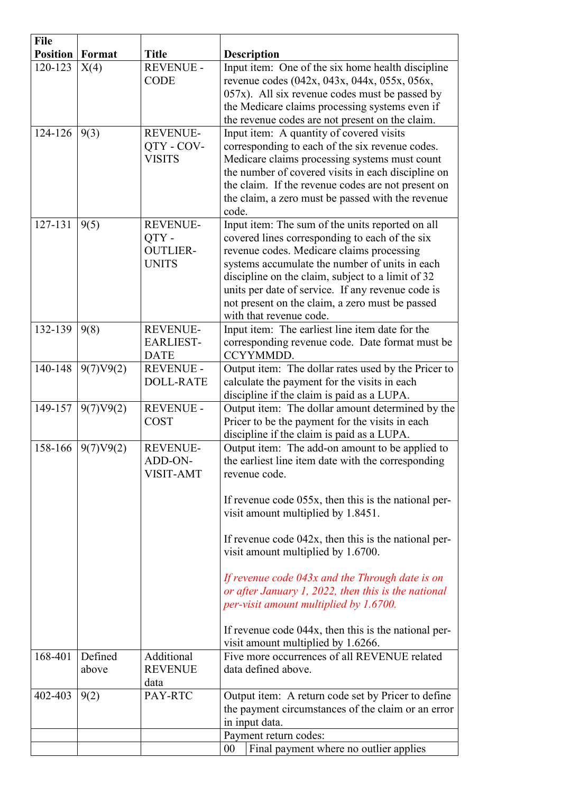| <b>File</b>     |                  |                                                            |                                                                                                                                                                                                                                                                                                                                                                                                                                                                                                                                                                         |
|-----------------|------------------|------------------------------------------------------------|-------------------------------------------------------------------------------------------------------------------------------------------------------------------------------------------------------------------------------------------------------------------------------------------------------------------------------------------------------------------------------------------------------------------------------------------------------------------------------------------------------------------------------------------------------------------------|
| <b>Position</b> | Format           | <b>Title</b>                                               | <b>Description</b>                                                                                                                                                                                                                                                                                                                                                                                                                                                                                                                                                      |
| 120-123         | X(4)             | <b>REVENUE -</b><br><b>CODE</b>                            | Input item: One of the six home health discipline<br>revenue codes (042x, 043x, 044x, 055x, 056x,<br>$057x$ ). All six revenue codes must be passed by<br>the Medicare claims processing systems even if<br>the revenue codes are not present on the claim.                                                                                                                                                                                                                                                                                                             |
| 124-126         | 9(3)             | <b>REVENUE-</b><br>QTY - COV-<br><b>VISITS</b>             | Input item: A quantity of covered visits<br>corresponding to each of the six revenue codes.<br>Medicare claims processing systems must count<br>the number of covered visits in each discipline on<br>the claim. If the revenue codes are not present on<br>the claim, a zero must be passed with the revenue<br>code.                                                                                                                                                                                                                                                  |
| 127-131         | 9(5)             | <b>REVENUE-</b><br>QTY-<br><b>OUTLIER-</b><br><b>UNITS</b> | Input item: The sum of the units reported on all<br>covered lines corresponding to each of the six<br>revenue codes. Medicare claims processing<br>systems accumulate the number of units in each<br>discipline on the claim, subject to a limit of 32<br>units per date of service. If any revenue code is<br>not present on the claim, a zero must be passed<br>with that revenue code.                                                                                                                                                                               |
| 132-139         | 9(8)             | <b>REVENUE-</b><br><b>EARLIEST-</b><br><b>DATE</b>         | Input item: The earliest line item date for the<br>corresponding revenue code. Date format must be<br>CCYYMMDD.                                                                                                                                                                                                                                                                                                                                                                                                                                                         |
| 140-148         | 9(7)V9(2)        | <b>REVENUE -</b><br><b>DOLL-RATE</b>                       | Output item: The dollar rates used by the Pricer to<br>calculate the payment for the visits in each<br>discipline if the claim is paid as a LUPA.                                                                                                                                                                                                                                                                                                                                                                                                                       |
| 149-157         | 9(7)V9(2)        | <b>REVENUE -</b><br><b>COST</b>                            | Output item: The dollar amount determined by the<br>Pricer to be the payment for the visits in each<br>discipline if the claim is paid as a LUPA.                                                                                                                                                                                                                                                                                                                                                                                                                       |
| 158-166         | 9(7)V9(2)        | <b>REVENUE-</b><br>ADD-ON-<br><b>VISIT-AMT</b>             | Output item: The add-on amount to be applied to<br>the earliest line item date with the corresponding<br>revenue code.<br>If revenue code 055x, then this is the national per-<br>visit amount multiplied by 1.8451.<br>If revenue code $042x$ , then this is the national per-<br>visit amount multiplied by 1.6700.<br>If revenue code 043x and the Through date is on<br>or after January 1, 2022, then this is the national<br>per-visit amount multiplied by 1.6700.<br>If revenue code 044x, then this is the national per-<br>visit amount multiplied by 1.6266. |
| 168-401         | Defined<br>above | Additional<br><b>REVENUE</b><br>data                       | Five more occurrences of all REVENUE related<br>data defined above.                                                                                                                                                                                                                                                                                                                                                                                                                                                                                                     |
| 402-403         | 9(2)             | PAY-RTC                                                    | Output item: A return code set by Pricer to define<br>the payment circumstances of the claim or an error<br>in input data.                                                                                                                                                                                                                                                                                                                                                                                                                                              |
|                 |                  |                                                            | Payment return codes:                                                                                                                                                                                                                                                                                                                                                                                                                                                                                                                                                   |
|                 |                  |                                                            | Final payment where no outlier applies<br>$00\,$                                                                                                                                                                                                                                                                                                                                                                                                                                                                                                                        |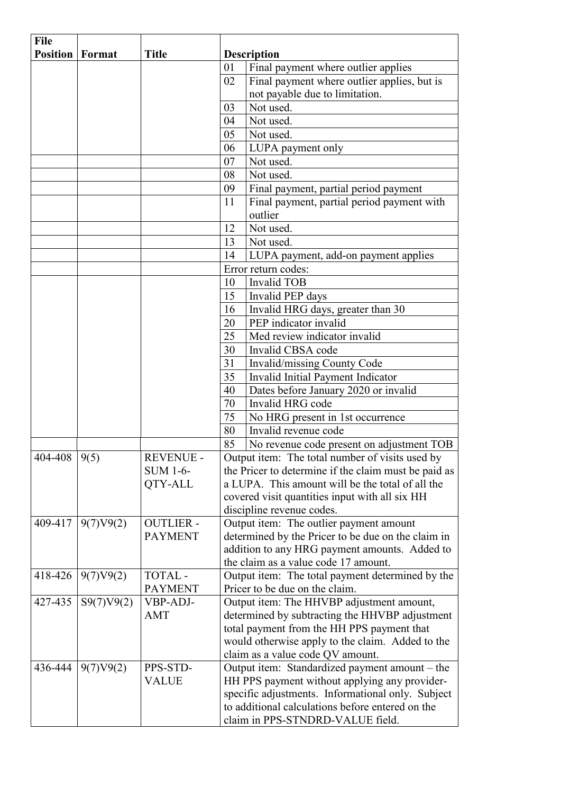| <b>File</b>      |            |                  |    |                                                      |
|------------------|------------|------------------|----|------------------------------------------------------|
| <b>Position</b>  | Format     | <b>Title</b>     |    | <b>Description</b>                                   |
|                  |            |                  | 01 | Final payment where outlier applies                  |
|                  |            |                  | 02 | Final payment where outlier applies, but is          |
|                  |            |                  |    | not payable due to limitation.                       |
|                  |            |                  | 03 | Not used.                                            |
|                  |            |                  | 04 | Not used.                                            |
|                  |            |                  | 05 | Not used.                                            |
|                  |            |                  | 06 | LUPA payment only                                    |
|                  |            |                  | 07 | Not used.                                            |
|                  |            |                  | 08 | Not used.                                            |
|                  |            |                  | 09 | Final payment, partial period payment                |
|                  |            |                  | 11 | Final payment, partial period payment with           |
|                  |            |                  |    | outlier                                              |
|                  |            |                  | 12 | Not used.                                            |
|                  |            |                  | 13 | Not used.                                            |
|                  |            |                  | 14 | LUPA payment, add-on payment applies                 |
|                  |            |                  |    | Error return codes:                                  |
|                  |            |                  | 10 | <b>Invalid TOB</b>                                   |
|                  |            |                  | 15 | Invalid PEP days                                     |
|                  |            |                  | 16 | Invalid HRG days, greater than 30                    |
|                  |            |                  | 20 | PEP indicator invalid                                |
|                  |            |                  | 25 | Med review indicator invalid                         |
|                  |            |                  | 30 | Invalid CBSA code                                    |
|                  |            |                  | 31 | Invalid/missing County Code                          |
|                  |            |                  | 35 | Invalid Initial Payment Indicator                    |
|                  |            |                  | 40 | Dates before January 2020 or invalid                 |
|                  |            |                  | 70 | Invalid HRG code                                     |
|                  |            |                  | 75 | No HRG present in 1st occurrence                     |
|                  |            |                  | 80 | Invalid revenue code                                 |
|                  |            |                  | 85 | No revenue code present on adjustment TOB            |
| 404-408   $9(5)$ |            | REVENUE -        |    | Output item: The total number of visits used by      |
|                  |            | <b>SUM 1-6-</b>  |    | the Pricer to determine if the claim must be paid as |
|                  |            | QTY-ALL          |    | a LUPA. This amount will be the total of all the     |
|                  |            |                  |    | covered visit quantities input with all six HH       |
|                  |            |                  |    | discipline revenue codes.                            |
| 409-417          | 9(7)V9(2)  | <b>OUTLIER -</b> |    | Output item: The outlier payment amount              |
|                  |            | <b>PAYMENT</b>   |    | determined by the Pricer to be due on the claim in   |
|                  |            |                  |    | addition to any HRG payment amounts. Added to        |
|                  |            |                  |    | the claim as a value code 17 amount.                 |
| 418-426          | 9(7)V9(2)  | <b>TOTAL-</b>    |    | Output item: The total payment determined by the     |
|                  |            | <b>PAYMENT</b>   |    | Pricer to be due on the claim.                       |
| 427-435          | S9(7)V9(2) | VBP-ADJ-         |    | Output item: The HHVBP adjustment amount,            |
|                  |            | AMT              |    | determined by subtracting the HHVBP adjustment       |
|                  |            |                  |    | total payment from the HH PPS payment that           |
|                  |            |                  |    | would otherwise apply to the claim. Added to the     |
|                  |            |                  |    | claim as a value code QV amount.                     |
| 436-444          | 9(7)V9(2)  | PPS-STD-         |    | Output item: Standardized payment amount – the       |
|                  |            | VALUE            |    | HH PPS payment without applying any provider-        |
|                  |            |                  |    | specific adjustments. Informational only. Subject    |
|                  |            |                  |    | to additional calculations before entered on the     |
|                  |            |                  |    | claim in PPS-STNDRD-VALUE field.                     |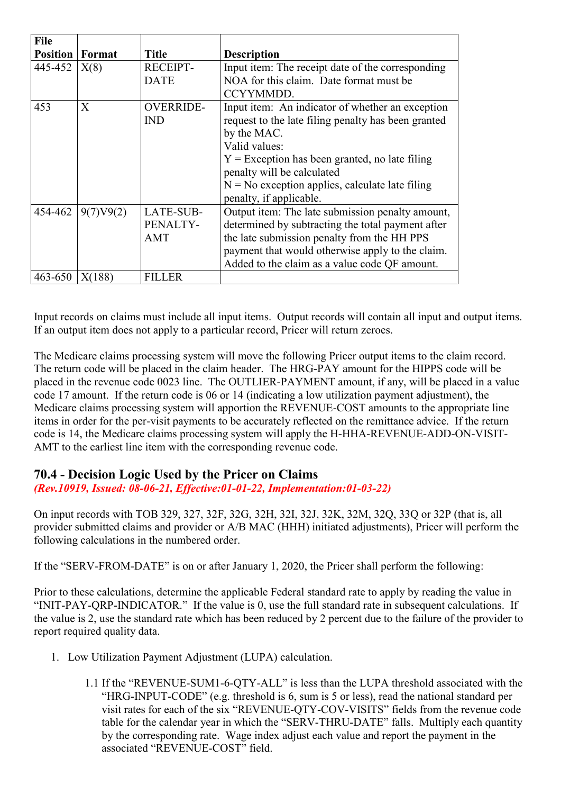| <b>File</b><br><b>Position</b> | Format    | Title                          | <b>Description</b>                                                                                                                                                                                                                                                                                        |
|--------------------------------|-----------|--------------------------------|-----------------------------------------------------------------------------------------------------------------------------------------------------------------------------------------------------------------------------------------------------------------------------------------------------------|
| 445-452                        | X(8)      | <b>RECEIPT-</b><br><b>DATE</b> | Input item: The receipt date of the corresponding<br>NOA for this claim. Date format must be<br>CCYYMMDD.                                                                                                                                                                                                 |
| 453                            | X         | <b>OVERRIDE-</b><br><b>IND</b> | Input item: An indicator of whether an exception<br>request to the late filing penalty has been granted<br>by the MAC.<br>Valid values:<br>$Y =$ Exception has been granted, no late filing<br>penalty will be calculated<br>$N = No$ exception applies, calculate late filing<br>penalty, if applicable. |
| 454-462                        | 9(7)V9(2) | LATE-SUB-<br>PENALTY-<br>AMT   | Output item: The late submission penalty amount,<br>determined by subtracting the total payment after<br>the late submission penalty from the HH PPS<br>payment that would otherwise apply to the claim.<br>Added to the claim as a value code QF amount.                                                 |
| 463-650                        | X(188)    | <b>FILLER</b>                  |                                                                                                                                                                                                                                                                                                           |

Input records on claims must include all input items. Output records will contain all input and output items. If an output item does not apply to a particular record, Pricer will return zeroes.

The Medicare claims processing system will move the following Pricer output items to the claim record. The return code will be placed in the claim header. The HRG-PAY amount for the HIPPS code will be placed in the revenue code 0023 line. The OUTLIER-PAYMENT amount, if any, will be placed in a value code 17 amount. If the return code is 06 or 14 (indicating a low utilization payment adjustment), the Medicare claims processing system will apportion the REVENUE-COST amounts to the appropriate line items in order for the per-visit payments to be accurately reflected on the remittance advice. If the return code is 14, the Medicare claims processing system will apply the H-HHA-REVENUE-ADD-ON-VISIT-AMT to the earliest line item with the corresponding revenue code.

# **70.4 - Decision Logic Used by the Pricer on Claims**

*(Rev.10919, Issued: 08-06-21, Effective:01-01-22, Implementation:01-03-22)*

On input records with TOB 329, 327, 32F, 32G, 32H, 32I, 32J, 32K, 32M, 32Q, 33Q or 32P (that is, all provider submitted claims and provider or A/B MAC (HHH) initiated adjustments), Pricer will perform the following calculations in the numbered order.

If the "SERV-FROM-DATE" is on or after January 1, 2020, the Pricer shall perform the following:

Prior to these calculations, determine the applicable Federal standard rate to apply by reading the value in "INIT-PAY-QRP-INDICATOR." If the value is 0, use the full standard rate in subsequent calculations. If the value is 2, use the standard rate which has been reduced by 2 percent due to the failure of the provider to report required quality data.

- 1. Low Utilization Payment Adjustment (LUPA) calculation.
	- 1.1 If the "REVENUE-SUM1-6-QTY-ALL" is less than the LUPA threshold associated with the "HRG-INPUT-CODE" (e.g. threshold is 6, sum is 5 or less), read the national standard per visit rates for each of the six "REVENUE-QTY-COV-VISITS" fields from the revenue code table for the calendar year in which the "SERV-THRU-DATE" falls. Multiply each quantity by the corresponding rate. Wage index adjust each value and report the payment in the associated "REVENUE-COST" field.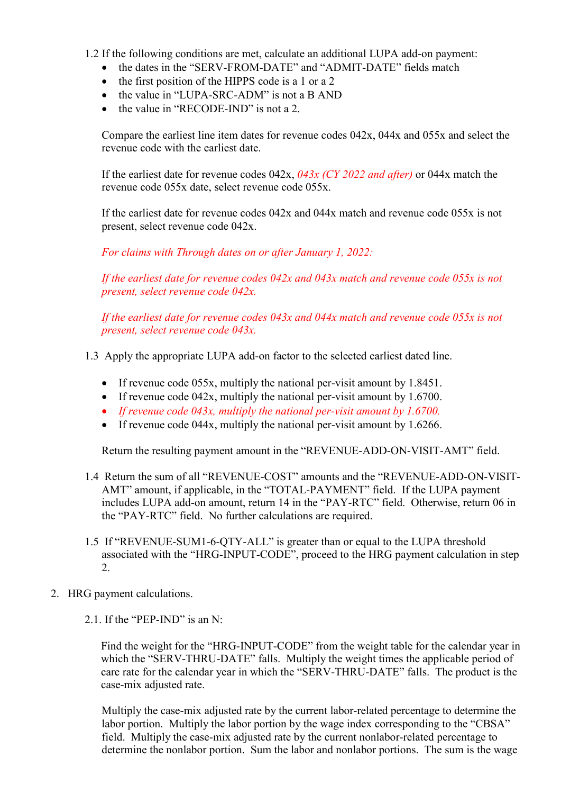- 1.2 If the following conditions are met, calculate an additional LUPA add-on payment:
	- the dates in the "SERV-FROM-DATE" and "ADMIT-DATE" fields match
	- the first position of the HIPPS code is a 1 or a 2
	- the value in "LUPA-SRC-ADM" is not a B AND
	- the value in "RECODE-IND" is not a 2.

Compare the earliest line item dates for revenue codes 042x, 044x and 055x and select the revenue code with the earliest date.

If the earliest date for revenue codes 042x, *043x (CY 2022 and after)* or 044x match the revenue code 055x date, select revenue code 055x.

If the earliest date for revenue codes 042x and 044x match and revenue code 055x is not present, select revenue code 042x.

*For claims with Through dates on or after January 1, 2022:* 

*If the earliest date for revenue codes 042x and 043x match and revenue code 055x is not present, select revenue code 042x.*

*If the earliest date for revenue codes 043x and 044x match and revenue code 055x is not present, select revenue code 043x.*

1.3 Apply the appropriate LUPA add-on factor to the selected earliest dated line.

- If revenue code 055x, multiply the national per-visit amount by 1.8451.
- If revenue code 042x, multiply the national per-visit amount by 1.6700.
- *If revenue code 043x, multiply the national per-visit amount by 1.6700.*
- If revenue code 044x, multiply the national per-visit amount by 1.6266.

Return the resulting payment amount in the "REVENUE-ADD-ON-VISIT-AMT" field.

- 1.4 Return the sum of all "REVENUE-COST" amounts and the "REVENUE-ADD-ON-VISIT-AMT" amount, if applicable, in the "TOTAL-PAYMENT" field. If the LUPA payment includes LUPA add-on amount, return 14 in the "PAY-RTC" field. Otherwise, return 06 in the "PAY-RTC" field. No further calculations are required.
- 1.5 If "REVENUE-SUM1-6-QTY-ALL" is greater than or equal to the LUPA threshold associated with the "HRG-INPUT-CODE", proceed to the HRG payment calculation in step 2.
- 2. HRG payment calculations.
	- 2.1. If the "PEP-IND" is an N:

Find the weight for the "HRG-INPUT-CODE" from the weight table for the calendar year in which the "SERV-THRU-DATE" falls. Multiply the weight times the applicable period of care rate for the calendar year in which the "SERV-THRU-DATE" falls. The product is the case-mix adjusted rate.

Multiply the case-mix adjusted rate by the current labor-related percentage to determine the labor portion. Multiply the labor portion by the wage index corresponding to the "CBSA" field. Multiply the case-mix adjusted rate by the current nonlabor-related percentage to determine the nonlabor portion. Sum the labor and nonlabor portions. The sum is the wage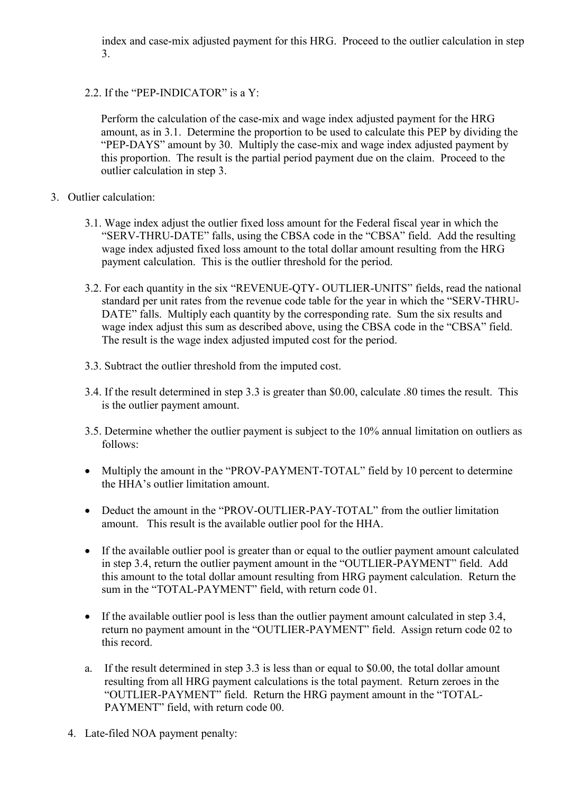index and case-mix adjusted payment for this HRG. Proceed to the outlier calculation in step 3.

2.2. If the "PEP-INDICATOR" is a Y:

Perform the calculation of the case-mix and wage index adjusted payment for the HRG amount, as in 3.1. Determine the proportion to be used to calculate this PEP by dividing the "PEP-DAYS" amount by 30. Multiply the case-mix and wage index adjusted payment by this proportion. The result is the partial period payment due on the claim. Proceed to the outlier calculation in step 3.

- 3. Outlier calculation:
	- 3.1. Wage index adjust the outlier fixed loss amount for the Federal fiscal year in which the "SERV-THRU-DATE" falls, using the CBSA code in the "CBSA" field. Add the resulting wage index adjusted fixed loss amount to the total dollar amount resulting from the HRG payment calculation. This is the outlier threshold for the period.
	- 3.2. For each quantity in the six "REVENUE-QTY- OUTLIER-UNITS" fields, read the national standard per unit rates from the revenue code table for the year in which the "SERV-THRU-DATE" falls. Multiply each quantity by the corresponding rate. Sum the six results and wage index adjust this sum as described above, using the CBSA code in the "CBSA" field. The result is the wage index adjusted imputed cost for the period.
	- 3.3. Subtract the outlier threshold from the imputed cost.
	- 3.4. If the result determined in step 3.3 is greater than \$0.00, calculate .80 times the result. This is the outlier payment amount.
	- 3.5. Determine whether the outlier payment is subject to the 10% annual limitation on outliers as follows:
	- Multiply the amount in the "PROV-PAYMENT-TOTAL" field by 10 percent to determine the HHA's outlier limitation amount.
	- Deduct the amount in the "PROV-OUTLIER-PAY-TOTAL" from the outlier limitation amount. This result is the available outlier pool for the HHA.
	- If the available outlier pool is greater than or equal to the outlier payment amount calculated in step 3.4, return the outlier payment amount in the "OUTLIER-PAYMENT" field. Add this amount to the total dollar amount resulting from HRG payment calculation. Return the sum in the "TOTAL-PAYMENT" field, with return code 01.
	- If the available outlier pool is less than the outlier payment amount calculated in step 3.4, return no payment amount in the "OUTLIER-PAYMENT" field. Assign return code 02 to this record.
	- a. If the result determined in step 3.3 is less than or equal to \$0.00, the total dollar amount resulting from all HRG payment calculations is the total payment. Return zeroes in the "OUTLIER-PAYMENT" field. Return the HRG payment amount in the "TOTAL-PAYMENT" field, with return code 00.
	- 4. Late-filed NOA payment penalty: